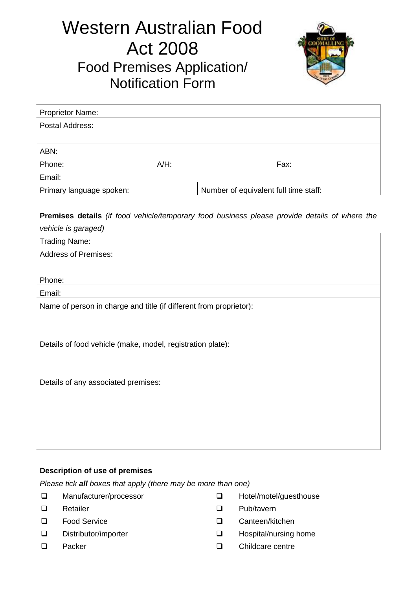# Western Australian Food Act 2008 Food Premises Application/ Notification Form



| <b>Proprietor Name:</b>                                           |         |  |      |
|-------------------------------------------------------------------|---------|--|------|
| Postal Address:                                                   |         |  |      |
|                                                                   |         |  |      |
| ABN:                                                              |         |  |      |
| Phone:                                                            | $A/H$ : |  | Fax: |
| Email:                                                            |         |  |      |
| Number of equivalent full time staff:<br>Primary language spoken: |         |  |      |

**Premises details** *(if food vehicle/temporary food business please provide details of where the* 

| vehicle is garaged)                                                |
|--------------------------------------------------------------------|
| <b>Trading Name:</b>                                               |
| <b>Address of Premises:</b>                                        |
|                                                                    |
| Phone:                                                             |
| Email:                                                             |
| Name of person in charge and title (if different from proprietor): |
|                                                                    |
|                                                                    |
| Details of food vehicle (make, model, registration plate):         |
|                                                                    |
|                                                                    |
| Details of any associated premises:                                |
|                                                                    |
|                                                                    |
|                                                                    |
|                                                                    |
|                                                                    |

## **Description of use of premises**

*Please tick all boxes that apply (there may be more than one)*

- □ Manufacturer/processor
- **Q** Retailer **C**
- **Q** Food Service **C**
- □ Distributor/importer and Distributor/importer
- $\Box$  Packer  $\Box$
- □ Hotel/motel/guesthouse
- Pub/tavern
- Canteen/kitchen
- Hospital/nursing home
	- Childcare centre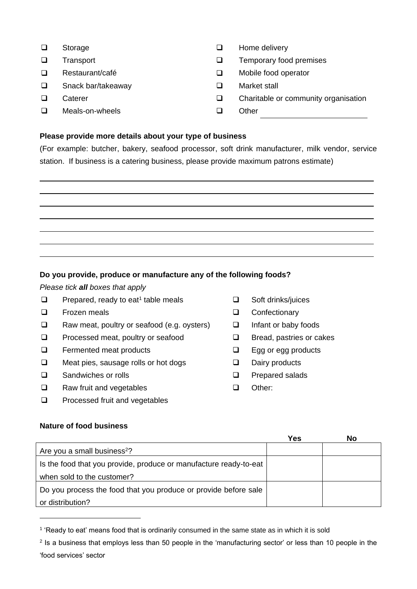- □ Storage
- **Transport**
- Restaurant/café
- □ Snack bar/takeaway 
Market stall
- **Caterer**
- $\Box$  Meals-on-wheels  $\Box$  Other
- $\Box$  Home delivery
- $\square$  Transport  $\square$  Temporary food premises
- □ Restaurant/café <br>□ Mobile food operator
	-
- **Q** Caterer Caterer Charitable or community organisation
	-

### **Please provide more details about your type of business**

(For example: butcher, bakery, seafood processor, soft drink manufacturer, milk vendor, service station. If business is a catering business, please provide maximum patrons estimate)

#### **Do you provide, produce or manufacture any of the following foods?**

*Please tick all boxes that apply*

- $\Box$  Prepared, ready to eat<sup>1</sup> table meals
- $\Box$  Frozen meals  $\Box$
- $\Box$  Raw meat, poultry or seafood (e.g. oysters)  $\Box$
- $\Box$  Processed meat, poultry or seafood  $\Box$
- **Q** Fermented meat products **Q**
- $\square$  Meat pies, sausage rolls or hot dogs  $\square$
- □ Sandwiches or rolls □ □ □ □
- □ Raw fruit and vegetables □ □
- Processed fruit and vegetables  $\Box$
- □ Soft drinks/juices **Confectionary**
- Infant or baby foods
- Bread, pastries or cakes
- Egg or egg products
- Dairy products
- Prepared salads
- Other:

## **Nature of food business**

|                                                                   | Yes | No |
|-------------------------------------------------------------------|-----|----|
| Are you a small business <sup>2</sup> ?                           |     |    |
| Is the food that you provide, produce or manufacture ready-to-eat |     |    |
| when sold to the customer?                                        |     |    |
| Do you process the food that you produce or provide before sale   |     |    |
| or distribution?                                                  |     |    |

<sup>&</sup>lt;sup>1</sup> 'Ready to eat' means food that is ordinarily consumed in the same state as in which it is sold

<sup>&</sup>lt;sup>2</sup> Is a business that employs less than 50 people in the 'manufacturing sector' or less than 10 people in the 'food services' sector